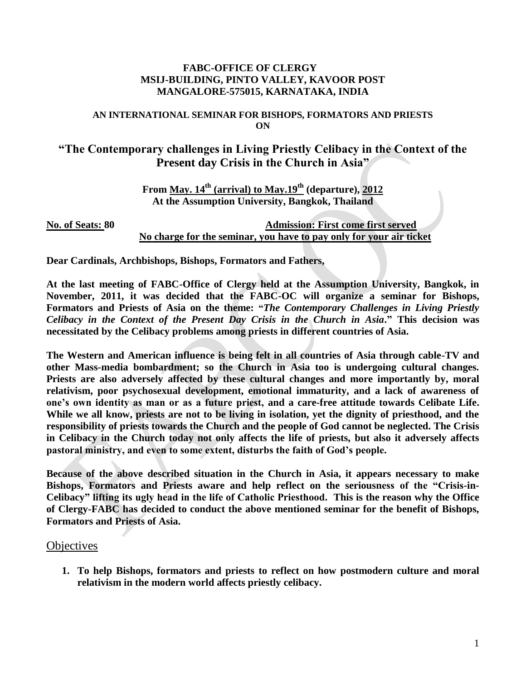## **FABC-OFFICE OF CLERGY MSIJ-BUILDING, PINTO VALLEY, KAVOOR POST MANGALORE-575015, KARNATAKA, INDIA**

## **AN INTERNATIONAL SEMINAR FOR BISHOPS, FORMATORS AND PRIESTS ON**

## **"The Contemporary challenges in Living Priestly Celibacy in the Context of the Present day Crisis in the Church in Asia"**

**From May. 14th (arrival) to May.19th (departure), 2012 At the Assumption University, Bangkok, Thailand**

**No. of Seats: 80 Admission: First come first served No charge for the seminar, you have to pay only for your air ticket**

**Dear Cardinals, Archbishops, Bishops, Formators and Fathers,**

**At the last meeting of FABC-Office of Clergy held at the Assumption University, Bangkok, in November, 2011, it was decided that the FABC-OC will organize a seminar for Bishops, Formators and Priests of Asia on the theme: "***The Contemporary Challenges in Living Priestly Celibacy in the Context of the Present Day Crisis in the Church in Asia***." This decision was necessitated by the Celibacy problems among priests in different countries of Asia.**

**The Western and American influence is being felt in all countries of Asia through cable-TV and other Mass-media bombardment; so the Church in Asia too is undergoing cultural changes.**  Priests are also adversely affected by these cultural changes and more importantly by, moral **relativism, poor psychosexual development, emotional immaturity, and a lack of awareness of one's own identity as man or as a future priest, and a care-free attitude towards Celibate Life. While we all know, priests are not to be living in isolation, yet the dignity of priesthood, and the responsibility of priests towards the Church and the people of God cannot be neglected. The Crisis in Celibacy in the Church today not only affects the life of priests, but also it adversely affects pastoral ministry, and even to some extent, disturbs the faith of God's people.** 

**Because of the above described situation in the Church in Asia, it appears necessary to make Bishops, Formators and Priests aware and help reflect on the seriousness of the "Crisis-in-Celibacy" lifting its ugly head in the life of Catholic Priesthood. This is the reason why the Office of Clergy-FABC has decided to conduct the above mentioned seminar for the benefit of Bishops, Formators and Priests of Asia.** 

## **Objectives**

**1. To help Bishops, formators and priests to reflect on how postmodern culture and moral relativism in the modern world affects priestly celibacy.**